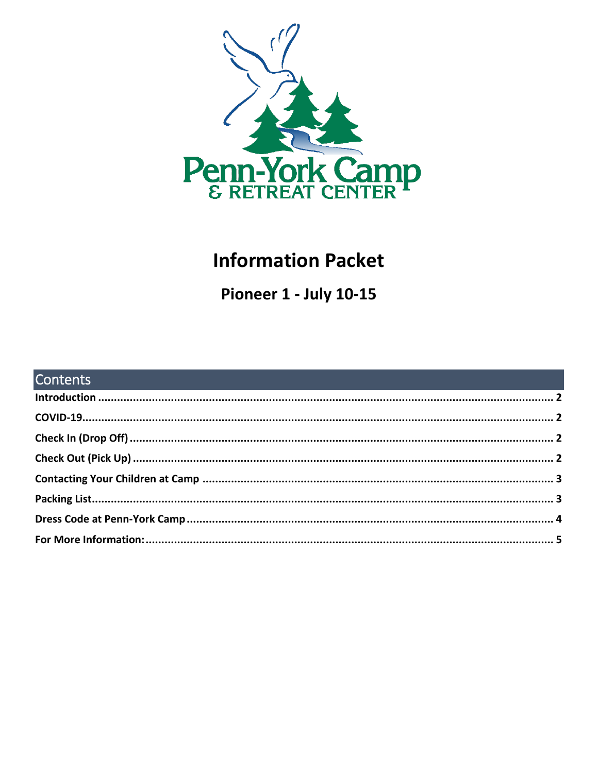

# **Information Packet**

Pioneer 1 - July 10-15

| <b>Contents</b> |  |
|-----------------|--|
|                 |  |
|                 |  |
|                 |  |
|                 |  |
|                 |  |
|                 |  |
|                 |  |
|                 |  |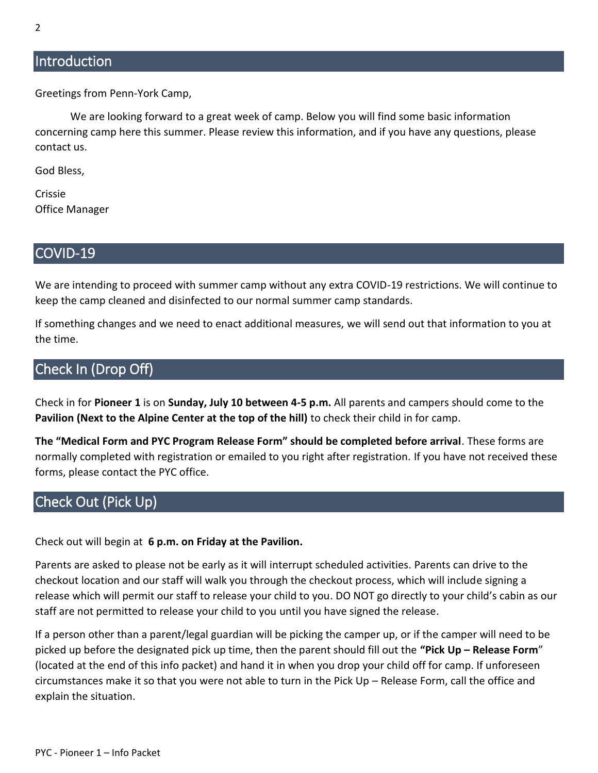# <span id="page-1-0"></span>**Introduction**

Greetings from Penn-York Camp,

We are looking forward to a great week of camp. Below you will find some basic information concerning camp here this summer. Please review this information, and if you have any questions, please contact us.

God Bless,

Crissie Office Manager

#### <span id="page-1-1"></span>COVID-19

We are intending to proceed with summer camp without any extra COVID-19 restrictions. We will continue to keep the camp cleaned and disinfected to our normal summer camp standards.

If something changes and we need to enact additional measures, we will send out that information to you at the time.

## <span id="page-1-2"></span>Check In (Drop Off)

Check in for **Pioneer 1** is on **Sunday, July 10 between 4-5 p.m.** All parents and campers should come to the **Pavilion (Next to the Alpine Center at the top of the hill)** to check their child in for camp.

**The "Medical Form and PYC Program Release Form" should be completed before arrival**. These forms are normally completed with registration or emailed to you right after registration. If you have not received these forms, please contact the PYC office.

# <span id="page-1-3"></span>Check Out (Pick Up)

Check out will begin at **6 p.m. on Friday at the Pavilion.**

Parents are asked to please not be early as it will interrupt scheduled activities. Parents can drive to the checkout location and our staff will walk you through the checkout process, which will include signing a release which will permit our staff to release your child to you. DO NOT go directly to your child's cabin as our staff are not permitted to release your child to you until you have signed the release.

If a person other than a parent/legal guardian will be picking the camper up, or if the camper will need to be picked up before the designated pick up time, then the parent should fill out the **"Pick Up – Release Form**" (located at the end of this info packet) and hand it in when you drop your child off for camp. If unforeseen circumstances make it so that you were not able to turn in the Pick Up – Release Form, call the office and explain the situation.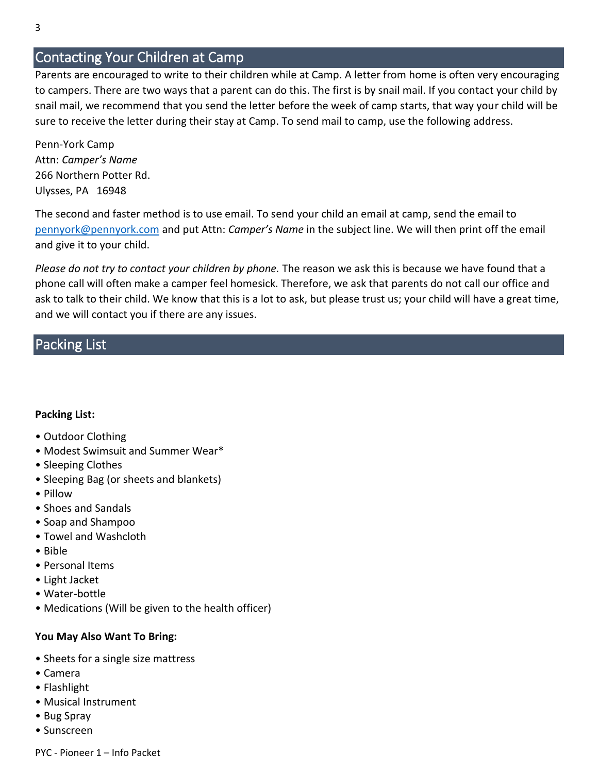# <span id="page-2-0"></span>Contacting Your Children at Camp

Parents are encouraged to write to their children while at Camp. A letter from home is often very encouraging to campers. There are two ways that a parent can do this. The first is by snail mail. If you contact your child by snail mail, we recommend that you send the letter before the week of camp starts, that way your child will be sure to receive the letter during their stay at Camp. To send mail to camp, use the following address.

Penn-York Camp Attn: *Camper's Name* 266 Northern Potter Rd. Ulysses, PA 16948

The second and faster method is to use email. To send your child an email at camp, send the email to [pennyork@pennyork.com](mailto:pennyork@pennyork.com) and put Attn: *Camper's Name* in the subject line. We will then print off the email and give it to your child.

*Please do not try to contact your children by phone.* The reason we ask this is because we have found that a phone call will often make a camper feel homesick. Therefore, we ask that parents do not call our office and ask to talk to their child. We know that this is a lot to ask, but please trust us; your child will have a great time, and we will contact you if there are any issues.

## <span id="page-2-1"></span>Packing List

#### **Packing List:**

- Outdoor Clothing
- Modest Swimsuit and Summer Wear\*
- Sleeping Clothes
- Sleeping Bag (or sheets and blankets)
- Pillow
- Shoes and Sandals
- Soap and Shampoo
- Towel and Washcloth
- Bible
- Personal Items
- Light Jacket
- Water-bottle
- Medications (Will be given to the health officer)

#### **You May Also Want To Bring:**

- Sheets for a single size mattress
- Camera
- Flashlight
- Musical Instrument
- Bug Spray
- Sunscreen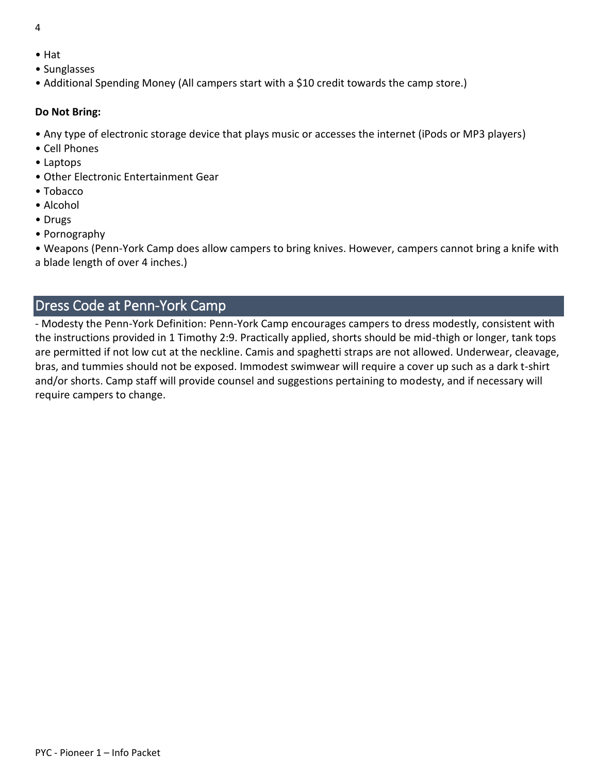- 4
- Hat
- Sunglasses
- Additional Spending Money (All campers start with a \$10 credit towards the camp store.)

#### **Do Not Bring:**

- Any type of electronic storage device that plays music or accesses the internet (iPods or MP3 players)
- Cell Phones
- Laptops
- Other Electronic Entertainment Gear
- Tobacco
- Alcohol
- Drugs
- Pornography

• Weapons (Penn-York Camp does allow campers to bring knives. However, campers cannot bring a knife with a blade length of over 4 inches.)

# <span id="page-3-0"></span>Dress Code at Penn-York Camp

- Modesty the Penn-York Definition: Penn-York Camp encourages campers to dress modestly, consistent with the instructions provided in 1 Timothy 2:9. Practically applied, shorts should be mid-thigh or longer, tank tops are permitted if not low cut at the neckline. Camis and spaghetti straps are not allowed. Underwear, cleavage, bras, and tummies should not be exposed. Immodest swimwear will require a cover up such as a dark t-shirt and/or shorts. Camp staff will provide counsel and suggestions pertaining to modesty, and if necessary will require campers to change.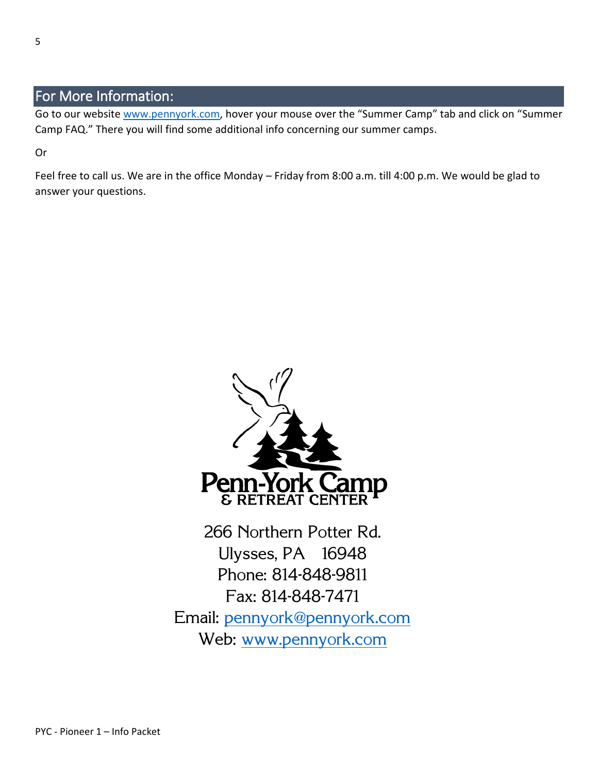# <span id="page-4-0"></span>For More Information:

Go to our website [www.pennyork.com,](http://www.pennyork.com/) hover your mouse over the "Summer Camp" tab and click on "Summer Camp FAQ." There you will find some additional info concerning our summer camps.

Or

Feel free to call us. We are in the office Monday – Friday from 8:00 a.m. till 4:00 p.m. We would be glad to answer your questions.